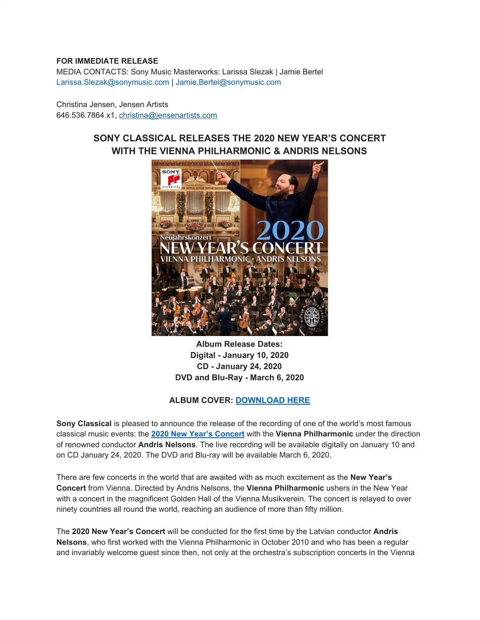## **FOR IMMEDIATE RELEASE**

MEDIA CONTACTS: Sony Music Masterworks: Larissa Slezak | Jamie Bertel Larissa.Slezak@sonymusic.com | Jamie.Bertel@sonymusic.com

Christina Jensen, Jensen Artists 646.536.7864 x1, christina@jensenartists.com

## **SONY CLASSICAL RELEASES THE 2020 NEW YEAR'S CONCERT WITH THE VIENNA PHILHARMONIC & ANDRIS NELSONS**



**Album Release Dates: Digital - January 10, 2020 CD - January 24, 2020 DVD and Blu-Ray - March 6, 2020**

## **ALBUM COVER: [DOWNLOAD HERE](https://u7061146.ct.sendgrid.net/wf/click?upn=G62jSYfZdO-2F12d8lSllQBxB1bqjb9a890MxxQulB-2F-2F3MXIspgCUKyYwS5PuKo60MRawif7zkAFjuMuTyoEo7VQ-3D-3D_DruDjhchMBr5xQkz3h1qcOnjZc-2BCsAVhraQ7DxYhbA2-2BHLQf-2BHKWaWi2FTM7QHo-2Fd7eCMDRMAhfd2mcWSs-2FpzNW9MmuPwV7rH-2FbDd7DdSSaeOxR8o91VMKRAwY7g3EyPA78P7uyepfDZzenHC5iNIKJuVmmgQspyIHsuV3FgSBlKag5S6si18sXfIW0o7dYja-2BZmI-2F0tgbBsFpiIFaXQNSds8ZKfXnz8WsuJ51XOKwHwE8NYa7VnnYYH2QrveFH2A4JzT9WyWmboQbKvcdJRNXGjSa-2FTgHwADijutR-2FnGAGQjw2JoUxMkdn2yPqnKbP52UMF-2BNci9I1PXW0poX83sTMA1qrPbJM3Ibuvf8kD7-2FU-3D)**

**Sony Classical** is pleased to announce the release of the recording of one of the world's most famous classical music events: the **2020 New Year's [Concert](https://u7061146.ct.sendgrid.net/wf/click?upn=G62jSYfZdO-2F12d8lSllQB1fB-2BXfclYIU7Lbh-2BsUatLmlMrrVfJuzvv5djuYZq9GrrQgtrdN-2BvkozB3QU6RABhw-3D-3D_DruDjhchMBr5xQkz3h1qcOnjZc-2BCsAVhraQ7DxYhbA2-2BHLQf-2BHKWaWi2FTM7QHo-2Fd7eCMDRMAhfd2mcWSs-2FpzNW9MmuPwV7rH-2FbDd7DdSSaeOxR8o91VMKRAwY7g3EyPA78P7uyepfDZzenHC5iNIKJuVmmgQspyIHsuV3FgSBlKag5S6si18sXfIW0o7dYja-2BZmI-2F0tgbBsFpiIFaXQNe3WzgyLohCx1z2-2B6llzW-2B1xbx-2FTP2lkHYk4zWzTOmG0mSmIWp1NKx8TYzXGCVIsgVgn-2BnAgK-2BAUevHwe5YphYscrqK-2FO8Oha7oF9nLRP2bSuMZN72RQfAWXYROZjQnD-2FJs7fjkYDLkCDxwp-2FCidNVM-3D)** with the **Vienna Philharmonic** under the direction of renowned conductor **Andris Nelsons**. The live recording will be available digitally on January 10 and on CD January 24, 2020. The DVD and Blu-ray will be available March 6, 2020.

There are few concerts in the world that are awaited with as much excitement as the **New Year's Concert** from Vienna. Directed by Andris Nelsons, the **Vienna Philharmonic** ushers in the New Year with a concert in the magnificent Golden Hall of the Vienna Musikverein. The concert is relayed to over ninety countries all round the world, reaching an audience of more than fifty million.

The **2020 New Year's Concert** will be conducted for the first time by the Latvian conductor **Andris Nelsons**, who first worked with the Vienna Philharmonic in October 2010 and who has been a regular and invariably welcome guest since then, not only at the orchestra's subscription concerts in the Vienna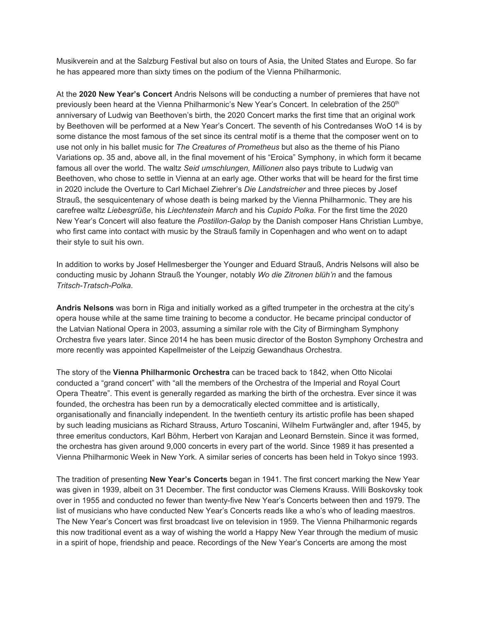Musikverein and at the Salzburg Festival but also on tours of Asia, the United States and Europe. So far he has appeared more than sixty times on the podium of the Vienna Philharmonic.

At the **2020 New Year's Concert** Andris Nelsons will be conducting a number of premieres that have not previously been heard at the Vienna Philharmonic's New Year's Concert. In celebration of the 250<sup>th</sup> anniversary of Ludwig van Beethoven's birth, the 2020 Concert marks the first time that an original work by Beethoven will be performed at a New Year's Concert. The seventh of his Contredanses WoO 14 is by some distance the most famous of the set since its central motif is a theme that the composer went on to use not only in his ballet music for *The Creatures of Prometheus* but also as the theme of his Piano Variations op. 35 and, above all, in the final movement of his "Eroica" Symphony, in which form it became famous all over the world. The waltz *Seid umschlungen, Millionen* also pays tribute to Ludwig van Beethoven, who chose to settle in Vienna at an early age. Other works that will be heard for the first time in 2020 include the Overture to Carl Michael Ziehrer's *Die Landstreicher* and three pieces by Josef Strauß, the sesquicentenary of whose death is being marked by the Vienna Philharmonic. They are his carefree waltz *Liebesgrüße*, his *Liechtenstein March* and his *Cupido Polka*. For the first time the 2020 New Year's Concert will also feature the *Postillon-Galop* by the Danish composer Hans Christian Lumbye, who first came into contact with music by the Strauß family in Copenhagen and who went on to adapt their style to suit his own.

In addition to works by Josef Hellmesberger the Younger and Eduard Strauß, Andris Nelsons will also be conducting music by Johann Strauß the Younger, notably *Wo die Zitronen blüh'n* and the famous *Tritsch-Tratsch-Polka*.

**Andris Nelsons** was born in Riga and initially worked as a gifted trumpeter in the orchestra at the city's opera house while at the same time training to become a conductor. He became principal conductor of the Latvian National Opera in 2003, assuming a similar role with the City of Birmingham Symphony Orchestra five years later. Since 2014 he has been music director of the Boston Symphony Orchestra and more recently was appointed Kapellmeister of the Leipzig Gewandhaus Orchestra.

The story of the **Vienna Philharmonic Orchestra** can be traced back to 1842, when Otto Nicolai conducted a "grand concert" with "all the members of the Orchestra of the Imperial and Royal Court Opera Theatre". This event is generally regarded as marking the birth of the orchestra. Ever since it was founded, the orchestra has been run by a democratically elected committee and is artistically, organisationally and financially independent. In the twentieth century its artistic profile has been shaped by such leading musicians as Richard Strauss, Arturo Toscanini, Wilhelm Furtwängler and, after 1945, by three emeritus conductors, Karl Böhm, Herbert von Karajan and Leonard Bernstein. Since it was formed, the orchestra has given around 9,000 concerts in every part of the world. Since 1989 it has presented a Vienna Philharmonic Week in New York. A similar series of concerts has been held in Tokyo since 1993.

The tradition of presenting **New Year's Concerts** began in 1941. The first concert marking the New Year was given in 1939, albeit on 31 December. The first conductor was Clemens Krauss. Willi Boskovsky took over in 1955 and conducted no fewer than twenty-five New Year's Concerts between then and 1979. The list of musicians who have conducted New Year's Concerts reads like a who's who of leading maestros. The New Year's Concert was first broadcast live on television in 1959. The Vienna Philharmonic regards this now traditional event as a way of wishing the world a Happy New Year through the medium of music in a spirit of hope, friendship and peace. Recordings of the New Year's Concerts are among the most